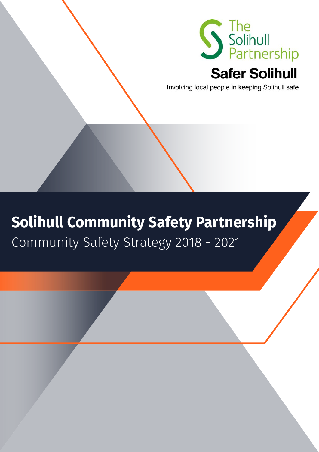

## **Safer Solihull**

Involving local people in keeping Solihull safe

# **Solihull Community Safety Partnership**

Community Safety Strategy 2018 - 2021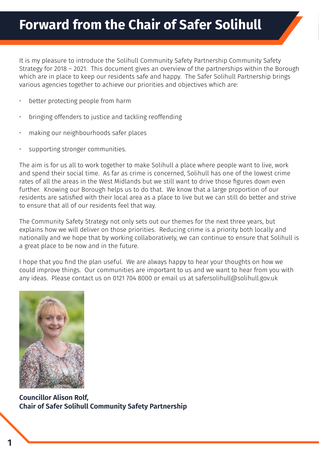It is my pleasure to introduce the Solihull Community Safety Partnership Community Safety Strategy for 2018 – 2021. This document gives an overview of the partnerships within the Borough which are in place to keep our residents safe and happy. The Safer Solihull Partnership brings various agencies together to achieve our priorities and objectives which are:

- better protecting people from harm
- bringing offenders to justice and tackling reoffending
- making our neighbourhoods safer places
- supporting stronger communities.

The aim is for us all to work together to make Solihull a place where people want to live, work and spend their social time. As far as crime is concerned, Solihull has one of the lowest crime rates of all the areas in the West Midlands but we still want to drive those figures down even further. Knowing our Borough helps us to do that. We know that a large proportion of our residents are satisfied with their local area as a place to live but we can still do better and strive to ensure that all of our residents feel that way.

The Community Safety Strategy not only sets out our themes for the next three years, but explains how we will deliver on those priorities. Reducing crime is a priority both locally and nationally and we hope that by working collaboratively, we can continue to ensure that Solihull is a great place to be now and in the future.

I hope that you find the plan useful. We are always happy to hear your thoughts on how we could improve things. Our communities are important to us and we want to hear from you with any ideas. Please contact us on 0121 704 8000 or email us at safersolihull@solihull.gov.uk



**Councillor Alison Rolf, Chair of Safer Solihull Community Safety Partnership**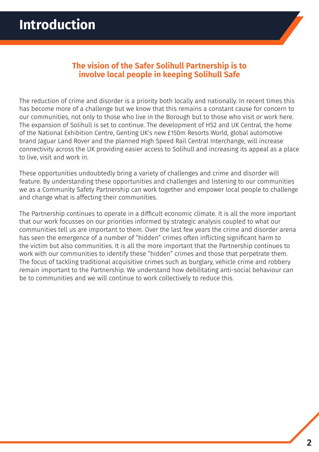#### **The vision of the Safer Solihull Partnership is to involve local people in keeping Solihull Safe**

The reduction of crime and disorder is a priority both locally and nationally. In recent times this has become more of a challenge but we know that this remains a constant cause for concern to our communities, not only to those who live in the Borough but to those who visit or work here. The expansion of Solihull is set to continue. The development of HS2 and UK Central, the home of the National Exhibition Centre, Genting UK's new £150m Resorts World, global automotive brand Jaguar Land Rover and the planned High Speed Rail Central Interchange, will increase connectivity across the UK providing easier access to Solihull and increasing its appeal as a place to live, visit and work in.

These opportunities undoubtedly bring a variety of challenges and crime and disorder will feature. By understanding these opportunities and challenges and listening to our communities we as a Community Safety Partnership can work together and empower local people to challenge and change what is affecting their communities.

The Partnership continues to operate in a difficult economic climate. It is all the more important that our work focusses on our priorities informed by strategic analysis coupled to what our communities tell us are important to them. Over the last few years the crime and disorder arena has seen the emergence of a number of "hidden" crimes often inflicting significant harm to the victim but also communities. It is all the more important that the Partnership continues to work with our communities to identify these "hidden" crimes and those that perpetrate them. The focus of tackling traditional acquisitive crimes such as burglary, vehicle crime and robbery remain important to the Partnership. We understand how debilitating anti-social behaviour can be to communities and we will continue to work collectively to reduce this.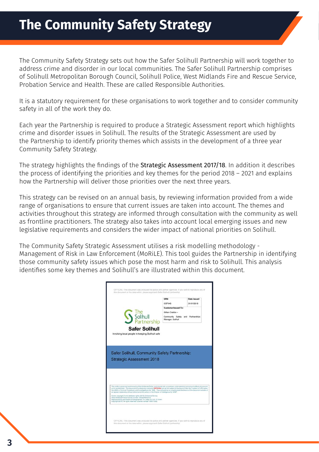The Community Safety Strategy sets out how the Safer Solihull Partnership will work together to address crime and disorder in our local communities. The Safer Solihull Partnership comprises of Solihull Metropolitan Borough Council, Solihull Police, West Midlands Fire and Rescue Service, Probation Service and Health. These are called Responsible Authorities.

It is a statutory requirement for these organisations to work together and to consider community safety in all of the work they do.

Each year the Partnership is required to produce a Strategic Assessment report which highlights crime and disorder issues in Solihull. The results of the Strategic Assessment are used by the Partnership to identify priority themes which assists in the development of a three year Community Safety Strategy.

The strategy highlights the findings of the [Strategic Assessment 2017/18](http://www.solihull.gov.uk/Portals/0/Partnership/Safer-Solihull-Strategic-Assessment-2018.pdf). In addition it describes the process of identifying the priorities and key themes for the period 2018 – 2021 and explains how the Partnership will deliver those priorities over the next three years.

This strategy can be revised on an annual basis, by reviewing information provided from a wide range of organisations to ensure that current issues are taken into account. The themes and activities throughout this strategy are informed through consultation with the community as well as frontline practitioners. The strategy also takes into account local emerging issues and new legislative requirements and considers the wider impact of national priorities on Solihull.

The Community Safety Strategic Assessment utilises a risk modelling methodology - Management of Risk in Law Enforcement (MoRiLE). This tool guides the Partnership in identifying those community safety issues which pose the most harm and risk to Solihull. This analysis identifies some key themes and Solihull's are illustrated within this document.

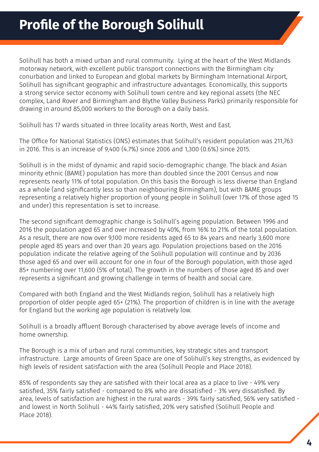Solihull has both a mixed urban and rural community. Lying at the heart of the West Midlands motorway network, with excellent public transport connections with the Birmingham city conurbation and linked to European and global markets by Birmingham International Airport, Solihull has significant geographic and infrastructure advantages. Economically, this supports a strong service sector economy with Solihull town centre and key regional assets (the NEC complex, Land Rover and Birmingham and Blythe Valley Business Parks) primarily responsible for drawing in around 85,000 workers to the Borough on a daily basis.

Solihull has 17 wards situated in three locality areas North, West and East.

The Office for National Statistics (ONS) estimates that Solihull's resident population was 211,763 in 2016. This is an increase of 9,400 (4.7%) since 2006 and 1,300 (0.6%) since 2015.

Solihull is in the midst of dynamic and rapid socio-demographic change. The black and Asian minority ethnic (BAME) population has more than doubled since the 2001 Census and now represents nearly 11% of total population. On this basis the Borough is less diverse than England as a whole (and significantly less so than neighbouring Birmingham), but with BAME groups representing a relatively higher proportion of young people in Solihull (over 17% of those aged 15 and under) this representation is set to increase.

The second significant demographic change is Solihull's ageing population. Between 1996 and 2016 the population aged 65 and over increased by 40%, from 16% to 21% of the total population. As a result, there are now over 9,100 more residents aged 65 to 84 years and nearly 3,600 more people aged 85 years and over than 20 years ago. Population projections based on the 2016 population indicate the relative ageing of the Solihull population will continue and by 2036 those aged 65 and over will account for one in four of the Borough population, with those aged 85+ numbering over 11,600 (5% of total). The growth in the numbers of those aged 85 and over represents a significant and growing challenge in terms of health and social care.

Compared with both England and the West Midlands region, Solihull has a relatively high proportion of older people aged 65+ (21%). The proportion of children is in line with the average for England but the working age population is relatively low.

Solihull is a broadly affluent Borough characterised by above average levels of income and home ownership.

The Borough is a mix of urban and rural communities, key strategic sites and transport infrastructure. Large amounts of Green Space are one of Solihull's key strengths, as evidenced by high levels of resident satisfaction with the area (Solihull People and Place 2018).

85% of respondents say they are satisfied with their local area as a place to live - 49% very satisfied, 35% fairly satisfied - compared to 8% who are dissatisfied - 3% very dissatisfied. By area, levels of satisfaction are highest in the rural wards - 39% fairly satisfied, 56% very satisfied and lowest in North Solihull - 44% fairly satisfied, 20% very satisfied (Solihull People and Place 2018).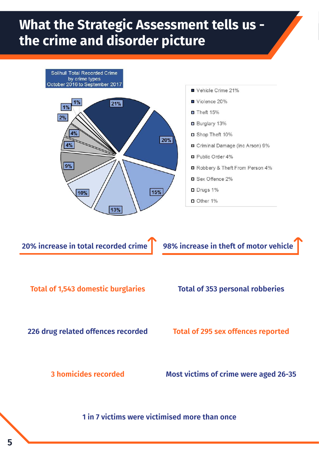# **What the Strategic Assessment tells us the crime and disorder picture**



**20% increase in total recorded crime** 98% increase in theft of motor vehicle

**Total of 1,543 domestic burglaries Total of 353 personal robberies**

**226 drug related offences recorded Total of 295 sex offences reported**

**3 homicides recorded Most victims of crime were aged 26-35**

**1 in 7 victims were victimised more than once**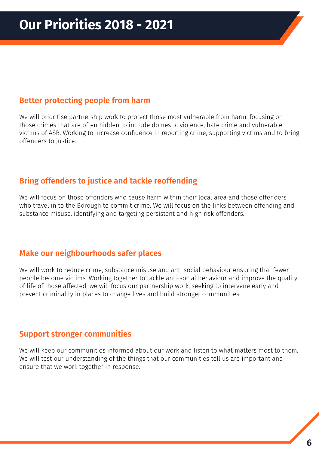#### **Better protecting people from harm**

We will prioritise partnership work to protect those most vulnerable from harm, focusing on those crimes that are often hidden to include domestic violence, hate crime and vulnerable victims of ASB. Working to increase confidence in reporting crime, supporting victims and to bring offenders to justice.

### **Bring offenders to justice and tackle reoffending**

We will focus on those offenders who cause harm within their local area and those offenders who travel in to the Borough to commit crime. We will focus on the links between offending and substance misuse, identifying and targeting persistent and high risk offenders.

#### **Make our neighbourhoods safer places**

We will work to reduce crime, substance misuse and anti social behaviour ensuring that fewer people become victims. Working together to tackle anti-social behaviour and improve the quality of life of those affected, we will focus our partnership work, seeking to intervene early and prevent criminality in places to change lives and build stronger communities.

#### **Support stronger communities**

We will keep our communities informed about our work and listen to what matters most to them. We will test our understanding of the things that our communities tell us are important and ensure that we work together in response.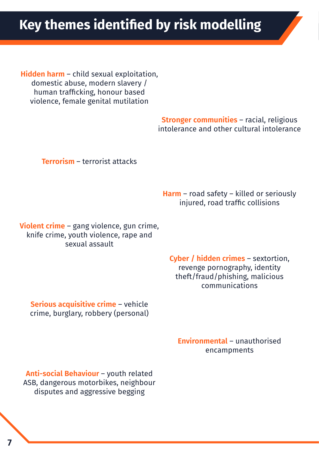**Hidden harm** – child sexual exploitation, domestic abuse, modern slavery / human trafficking, honour based violence, female genital mutilation

> **Stronger communities** – racial, religious intolerance and other cultural intolerance

**Terrorism** – terrorist attacks

**Harm** – road safety – killed or seriously injured, road traffic collisions

**Violent crime** – gang violence, gun crime, knife crime, youth violence, rape and sexual assault

> **Cyber / hidden crimes** – sextortion, revenge pornography, identity theft/fraud/phishing, malicious communications

**Serious acquisitive crime** – vehicle crime, burglary, robbery (personal)

> **Environmental** – unauthorised encampments

**Anti-social Behaviour** – youth related ASB, dangerous motorbikes, neighbour disputes and aggressive begging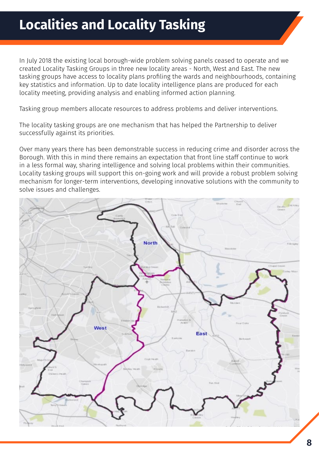# **Localities and Locality Tasking**

In July 2018 the existing local borough-wide problem solving panels ceased to operate and we created Locality Tasking Groups in three new locality areas - North, West and East. The new tasking groups have access to locality plans profiling the wards and neighbourhoods, containing key statistics and information. Up to date locality intelligence plans are produced for each locality meeting, providing analysis and enabling informed action planning.

Tasking group members allocate resources to address problems and deliver interventions.

The locality tasking groups are one mechanism that has helped the Partnership to deliver successfully against its priorities.

Over many years there has been demonstrable success in reducing crime and disorder across the Borough. With this in mind there remains an expectation that front line staff continue to work in a less formal way, sharing intelligence and solving local problems within their communities. Locality tasking groups will support this on-going work and will provide a robust problem solving mechanism for longer-term interventions, developing innovative solutions with the community to solve issues and challenges.